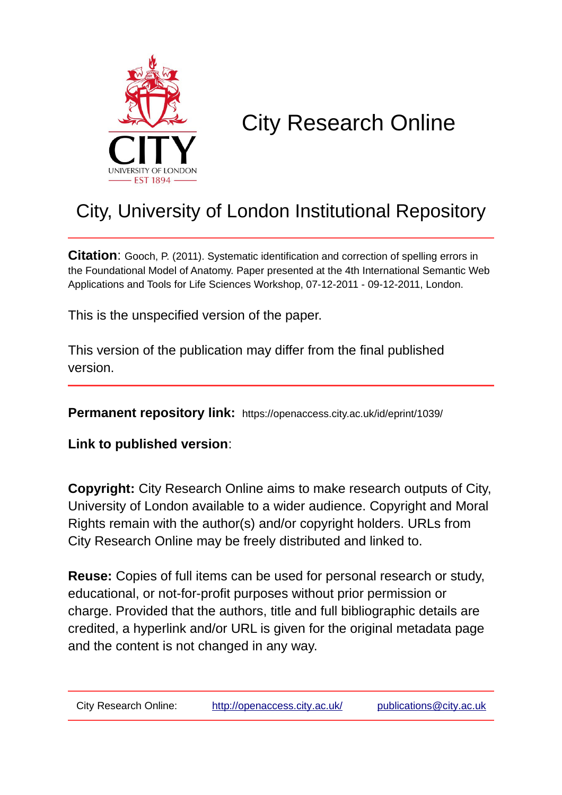

# City Research Online

## City, University of London Institutional Repository

**Citation**: Gooch, P. (2011). Systematic identification and correction of spelling errors in the Foundational Model of Anatomy. Paper presented at the 4th International Semantic Web Applications and Tools for Life Sciences Workshop, 07-12-2011 - 09-12-2011, London.

This is the unspecified version of the paper.

This version of the publication may differ from the final published version.

**Permanent repository link:** https://openaccess.city.ac.uk/id/eprint/1039/

**Link to published version**:

**Copyright:** City Research Online aims to make research outputs of City, University of London available to a wider audience. Copyright and Moral Rights remain with the author(s) and/or copyright holders. URLs from City Research Online may be freely distributed and linked to.

**Reuse:** Copies of full items can be used for personal research or study, educational, or not-for-profit purposes without prior permission or charge. Provided that the authors, title and full bibliographic details are credited, a hyperlink and/or URL is given for the original metadata page and the content is not changed in any way.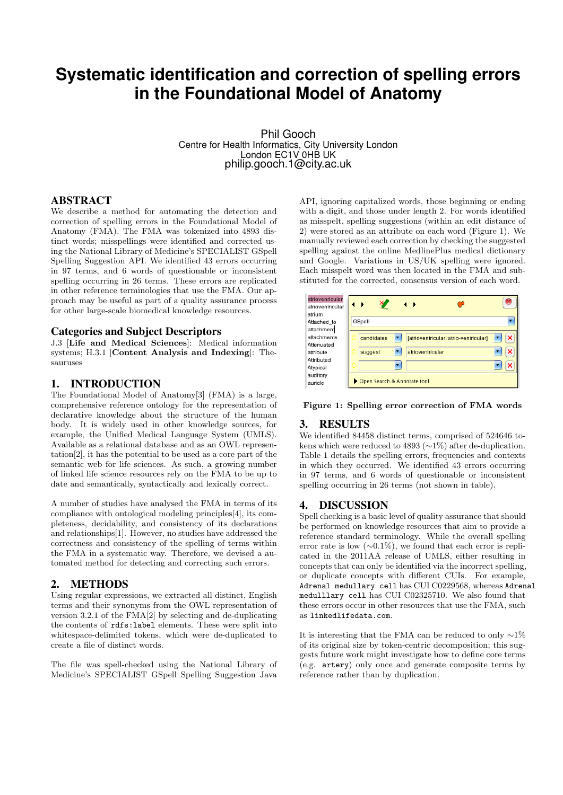### **Systematic identification and correction of spelling errors in the Foundational Model of Anatomy**

Phil Gooch Centre for Health Informatics, City University London London EC1V 0HB UK philip.gooch.1@city.ac.uk

#### ABSTRACT

We describe a method for automating the detection and correction of spelling errors in the Foundational Model of Anatomy (FMA). The FMA was tokenized into 4893 distinct words; misspellings were identified and corrected using the National Library of Medicine's SPECIALIST GSpell Spelling Suggestion API. We identified 43 errors occurring in 97 terms, and 6 words of questionable or inconsistent spelling occurring in 26 terms. These errors are replicated in other reference terminologies that use the FMA. Our approach may be useful as part of a quality assurance process for other large-scale biomedical knowledge resources.

#### Categories and Subject Descriptors

J.3 [Life and Medical Sciences]: Medical information systems; H.3.1 [Content Analysis and Indexing]: Thesauruses

#### 1. INTRODUCTION

The Foundational Model of Anatomy[3] (FMA) is a large, comprehensive reference ontology for the representation of declarative knowledge about the structure of the human body. It is widely used in other knowledge sources, for example, the Unified Medical Language System (UMLS). Available as a relational database and as an OWL representation[2], it has the potential to be used as a core part of the semantic web for life sciences. As such, a growing number of linked life science resources rely on the FMA to be up to date and semantically, syntactically and lexically correct.

A number of studies have analysed the FMA in terms of its compliance with ontological modeling principles[4], its completeness, decidability, and consistency of its declarations and relationships[1]. However, no studies have addressed the correctness and consistency of the spelling of terms within the FMA in a systematic way. Therefore, we devised a automated method for detecting and correcting such errors.

#### 2. METHODS

Using regular expressions, we extracted all distinct, English terms and their synonyms from the OWL representation of version 3.2.1 of the FMA[2] by selecting and de-duplicating the contents of rdfs:label elements. These were split into whitespace-delimited tokens, which were de-duplicated to create a file of distinct words.

The file was spell-checked using the National Library of Medicine's SPECIALIST GSpell Spelling Suggestion Java

API, ignoring capitalized words, those beginning or ending with a digit, and those under length 2. For words identified as misspelt, spelling suggestions (within an edit distance of 2) were stored as an attribute on each word (Figure 1). We manually reviewed each correction by checking the suggested spelling against the online MedlinePlus medical dictionary and Google. Variations in US/UK spelling were ignored. Each misspelt word was then located in the FMA and substituted for the corrected, consensus version of each word.

| atriovenricular  |                               |                                       |   |  |  |
|------------------|-------------------------------|---------------------------------------|---|--|--|
| atrioventricular | $\leftarrow$<br>$\rightarrow$ | D                                     |   |  |  |
| atrium           |                               |                                       |   |  |  |
| Attached to      | GSpell                        |                                       |   |  |  |
| attachment       |                               |                                       |   |  |  |
| attachments      | candidates                    | [atrioventricular, atrio-ventricular] | × |  |  |
| Attenuated       |                               |                                       |   |  |  |
| attribute        | suggest                       | atrioventricular                      | × |  |  |
| Attributed       |                               |                                       |   |  |  |
| Atypical         |                               |                                       | × |  |  |
| auditory         |                               |                                       |   |  |  |
| auricle          | Open Search & Annotate tool   |                                       |   |  |  |
|                  |                               |                                       |   |  |  |

Figure 1: Spelling error correction of FMA words

#### 3. RESULTS

We identified 84458 distinct terms, comprised of 524646 tokens which were reduced to 4893 (∼1%) after de-duplication. Table 1 details the spelling errors, frequencies and contexts in which they occurred. We identified 43 errors occurring in 97 terms, and 6 words of questionable or inconsistent spelling occurring in 26 terms (not shown in table).

#### 4. DISCUSSION

Spell checking is a basic level of quality assurance that should be performed on knowledge resources that aim to provide a reference standard terminology. While the overall spelling error rate is low  $(\sim 0.1\%)$ , we found that each error is replicated in the 2011AA release of UMLS, either resulting in concepts that can only be identified via the incorrect spelling, or duplicate concepts with different CUIs. For example, Adrenal medullary cell has CUI C0229568, whereas Adrenal medulllary cell has CUI C02325710. We also found that these errors occur in other resources that use the FMA, such as linkedlifedata.com.

It is interesting that the FMA can be reduced to only ∼1% of its original size by token-centric decomposition; this suggests future work might investigate how to define core terms (e.g. artery) only once and generate composite terms by reference rather than by duplication.